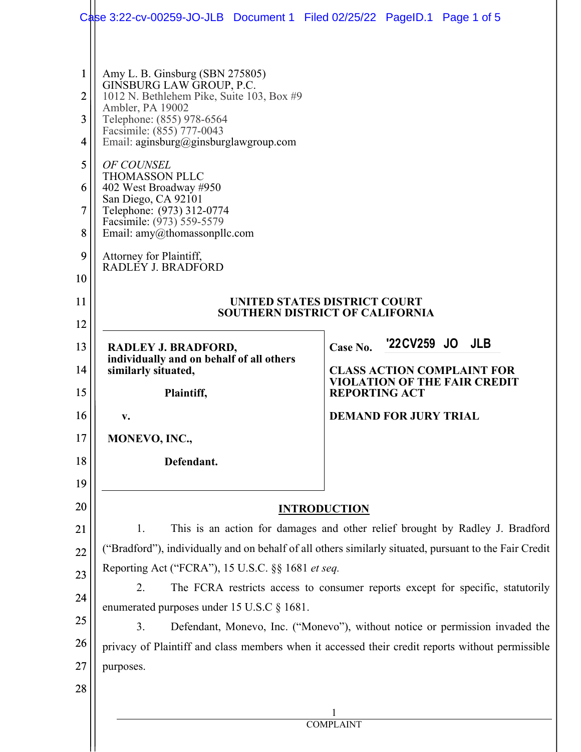|                | Case 3:22-cv-00259-JO-JLB Document 1 Filed 02/25/22 PageID.1 Page 1 of 5                         |                                                                                                                                                                                        |  |
|----------------|--------------------------------------------------------------------------------------------------|----------------------------------------------------------------------------------------------------------------------------------------------------------------------------------------|--|
|                |                                                                                                  |                                                                                                                                                                                        |  |
| $\mathbf{1}$   | Amy L. B. Ginsburg (SBN 275805)                                                                  |                                                                                                                                                                                        |  |
| $\overline{2}$ | GINSBURG LAW GROUP, P.C.<br>1012 N. Bethlehem Pike, Suite 103, Box #9                            |                                                                                                                                                                                        |  |
| 3              | Ambler, PA 19002<br>Telephone: (855) 978-6564                                                    |                                                                                                                                                                                        |  |
| 4              | Facsimile: (855) 777-0043<br>Email: aginsburg@ginsburglawgroup.com                               |                                                                                                                                                                                        |  |
| 5              | OF COUNSEL                                                                                       |                                                                                                                                                                                        |  |
| 6              | <b>THOMASSON PLLC</b><br>402 West Broadway #950                                                  |                                                                                                                                                                                        |  |
| $\tau$         | San Diego, CA 92101<br>Telephone: (973) 312-0774                                                 |                                                                                                                                                                                        |  |
| 8              | Facsimile: (973) 559-5579<br>Email: amy@thomassonpllc.com                                        |                                                                                                                                                                                        |  |
| 9              | Attorney for Plaintiff,<br>RADLEY J. BRADFORD                                                    |                                                                                                                                                                                        |  |
| 10             |                                                                                                  |                                                                                                                                                                                        |  |
| 11             | UNITED STATES DISTRICT COURT<br><b>SOUTHERN DISTRICT OF CALIFORNIA</b>                           |                                                                                                                                                                                        |  |
| 12             |                                                                                                  |                                                                                                                                                                                        |  |
| 13             | RADLEY J. BRADFORD,<br>individually and on behalf of all others                                  | '22 CV 259 JO JLB<br>Case No.                                                                                                                                                          |  |
| 14             | similarly situated,                                                                              | <b>CLASS ACTION COMPLAINT FOR</b><br><b>VIOLATION OF THE FAIR CREDIT</b>                                                                                                               |  |
| 15             | Plaintiff,                                                                                       | <b>REPORTING ACT</b>                                                                                                                                                                   |  |
| 16             | v.                                                                                               | <b>DEMAND FOR JURY TRIAL</b>                                                                                                                                                           |  |
| 17             | MONEVO, INC.,                                                                                    |                                                                                                                                                                                        |  |
| 18             | Defendant.                                                                                       |                                                                                                                                                                                        |  |
| 19             |                                                                                                  |                                                                                                                                                                                        |  |
| 20             |                                                                                                  | <b>INTRODUCTION</b>                                                                                                                                                                    |  |
| 21             | 1.                                                                                               | This is an action for damages and other relief brought by Radley J. Bradford<br>("Bradford"), individually and on behalf of all others similarly situated, pursuant to the Fair Credit |  |
| 22             | Reporting Act ("FCRA"), 15 U.S.C. §§ 1681 et seq.                                                |                                                                                                                                                                                        |  |
| 23             | 2.                                                                                               | The FCRA restricts access to consumer reports except for specific, statutorily                                                                                                         |  |
| 24             | enumerated purposes under 15 U.S.C § 1681.                                                       |                                                                                                                                                                                        |  |
| 25             | 3.<br>Defendant, Monevo, Inc. ("Monevo"), without notice or permission invaded the               |                                                                                                                                                                                        |  |
| 26             | privacy of Plaintiff and class members when it accessed their credit reports without permissible |                                                                                                                                                                                        |  |
| 27             | purposes.                                                                                        |                                                                                                                                                                                        |  |
| 28             |                                                                                                  |                                                                                                                                                                                        |  |
|                | <b>COMPLAINT</b>                                                                                 |                                                                                                                                                                                        |  |
|                |                                                                                                  |                                                                                                                                                                                        |  |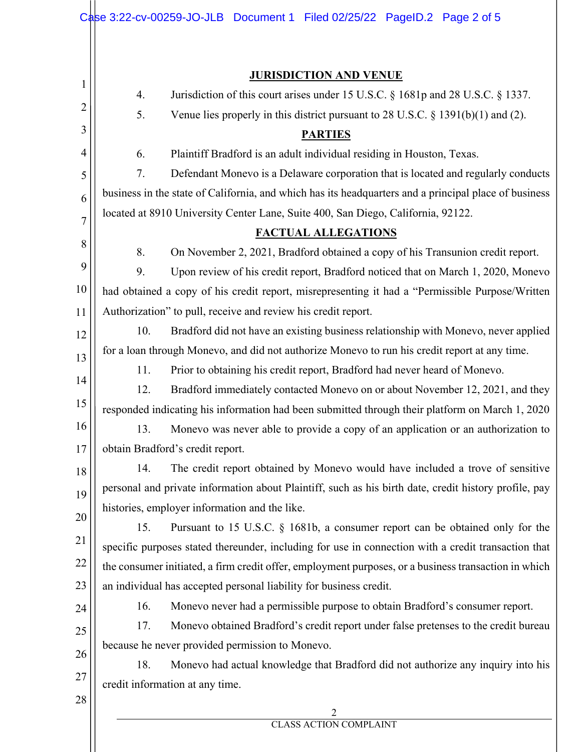|                | Case 3:22-cv-00259-JO-JLB Document 1 Filed 02/25/22 PageID.2 Page 2 of 5                                                                                  |
|----------------|-----------------------------------------------------------------------------------------------------------------------------------------------------------|
|                | <b>JURISDICTION AND VENUE</b>                                                                                                                             |
| 1              | Jurisdiction of this court arises under 15 U.S.C. § 1681p and 28 U.S.C. § 1337.<br>4.                                                                     |
| 2              | Venue lies properly in this district pursuant to $28$ U.S.C. § 1391(b)(1) and (2).<br>5.                                                                  |
| 3              | <b>PARTIES</b>                                                                                                                                            |
| 4              | 6.<br>Plaintiff Bradford is an adult individual residing in Houston, Texas.                                                                               |
| 5              | 7.<br>Defendant Monevo is a Delaware corporation that is located and regularly conducts                                                                   |
| 6              | business in the state of California, and which has its headquarters and a principal place of business                                                     |
| $\overline{7}$ | located at 8910 University Center Lane, Suite 400, San Diego, California, 92122.                                                                          |
|                | <b>FACTUAL ALLEGATIONS</b>                                                                                                                                |
| 8              | On November 2, 2021, Bradford obtained a copy of his Transunion credit report.<br>8.                                                                      |
| 9              | 9.<br>Upon review of his credit report, Bradford noticed that on March 1, 2020, Monevo                                                                    |
| 10             | had obtained a copy of his credit report, misrepresenting it had a "Permissible Purpose/Written                                                           |
| 11             | Authorization" to pull, receive and review his credit report.                                                                                             |
| 12             | Bradford did not have an existing business relationship with Monevo, never applied<br>10.                                                                 |
| 13             | for a loan through Monevo, and did not authorize Monevo to run his credit report at any time.                                                             |
| 14             | Prior to obtaining his credit report, Bradford had never heard of Monevo.<br>11.                                                                          |
| 15             | 12.<br>Bradford immediately contacted Monevo on or about November 12, 2021, and they                                                                      |
|                | responded indicating his information had been submitted through their platform on March 1, 2020                                                           |
| 16             | Monevo was never able to provide a copy of an application or an authorization to<br>13.                                                                   |
| 17             | obtain Bradford's credit report.                                                                                                                          |
| 18             | 14.<br>The credit report obtained by Monevo would have included a trove of sensitive                                                                      |
| 19             | personal and private information about Plaintiff, such as his birth date, credit history profile, pay                                                     |
| 20             | histories, employer information and the like.                                                                                                             |
| 21             | Pursuant to 15 U.S.C. § 1681b, a consumer report can be obtained only for the<br>15.                                                                      |
| 22             | specific purposes stated thereunder, including for use in connection with a credit transaction that                                                       |
| 23             | the consumer initiated, a firm credit offer, employment purposes, or a business transaction in which                                                      |
|                | an individual has accepted personal liability for business credit.<br>16.<br>Monevo never had a permissible purpose to obtain Bradford's consumer report. |
| 24             | 17.<br>Monevo obtained Bradford's credit report under false pretenses to the credit bureau                                                                |
| 25             | because he never provided permission to Monevo.                                                                                                           |
| 26             | 18.<br>Monevo had actual knowledge that Bradford did not authorize any inquiry into his                                                                   |
| 27             | credit information at any time.                                                                                                                           |
| 28             |                                                                                                                                                           |
|                | 2<br><b>CLASS ACTION COMPLAINT</b>                                                                                                                        |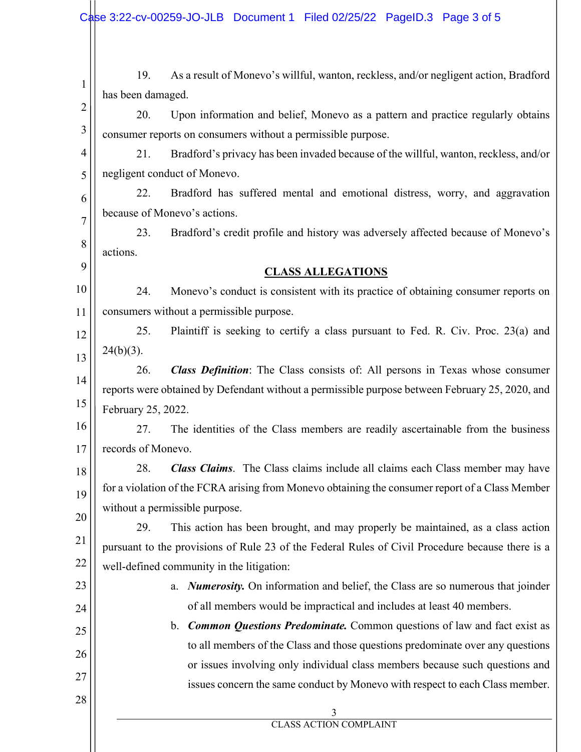| $\mathbf{1}$   | 19.                            | As a result of Monevo's willful, wanton, reckless, and/or negligent action, Bradford             |
|----------------|--------------------------------|--------------------------------------------------------------------------------------------------|
| $\overline{2}$ | has been damaged.              |                                                                                                  |
|                | 20.                            | Upon information and belief, Monevo as a pattern and practice regularly obtains                  |
|                |                                | consumer reports on consumers without a permissible purpose.                                     |
|                | 21.                            | Bradford's privacy has been invaded because of the willful, wanton, reckless, and/or             |
|                | negligent conduct of Monevo.   |                                                                                                  |
|                | 22.                            | Bradford has suffered mental and emotional distress, worry, and aggravation                      |
|                | because of Monevo's actions.   |                                                                                                  |
|                | 23.                            | Bradford's credit profile and history was adversely affected because of Monevo's                 |
|                | actions.                       |                                                                                                  |
|                |                                | <b>CLASS ALLEGATIONS</b>                                                                         |
|                | 24.                            | Monevo's conduct is consistent with its practice of obtaining consumer reports on                |
|                |                                | consumers without a permissible purpose.                                                         |
|                | 25.                            | Plaintiff is seeking to certify a class pursuant to Fed. R. Civ. Proc. 23(a) and                 |
|                | $24(b)(3)$ .                   |                                                                                                  |
|                | 26.                            | <b>Class Definition:</b> The Class consists of: All persons in Texas whose consumer              |
|                |                                | reports were obtained by Defendant without a permissible purpose between February 25, 2020, and  |
|                | February 25, 2022.             |                                                                                                  |
|                | 27.                            | The identities of the Class members are readily ascertainable from the business                  |
|                | records of Monevo.             |                                                                                                  |
|                | 28.                            | <b>Class Claims</b> . The Class claims include all claims each Class member may have             |
|                |                                | for a violation of the FCRA arising from Monevo obtaining the consumer report of a Class Member  |
|                | without a permissible purpose. |                                                                                                  |
|                | 29.                            | This action has been brought, and may properly be maintained, as a class action                  |
|                |                                | pursuant to the provisions of Rule 23 of the Federal Rules of Civil Procedure because there is a |
|                |                                | well-defined community in the litigation:                                                        |
|                |                                | a. Numerosity. On information and belief, the Class are so numerous that joinder                 |
|                |                                | of all members would be impractical and includes at least 40 members.                            |
|                |                                | b. Common Questions Predominate. Common questions of law and fact exist as                       |
|                |                                | to all members of the Class and those questions predominate over any questions                   |
|                |                                | or issues involving only individual class members because such questions and                     |
|                |                                | issues concern the same conduct by Monevo with respect to each Class member.                     |
|                |                                |                                                                                                  |
|                |                                | 3<br>CLASS ACTION COMPLAINT                                                                      |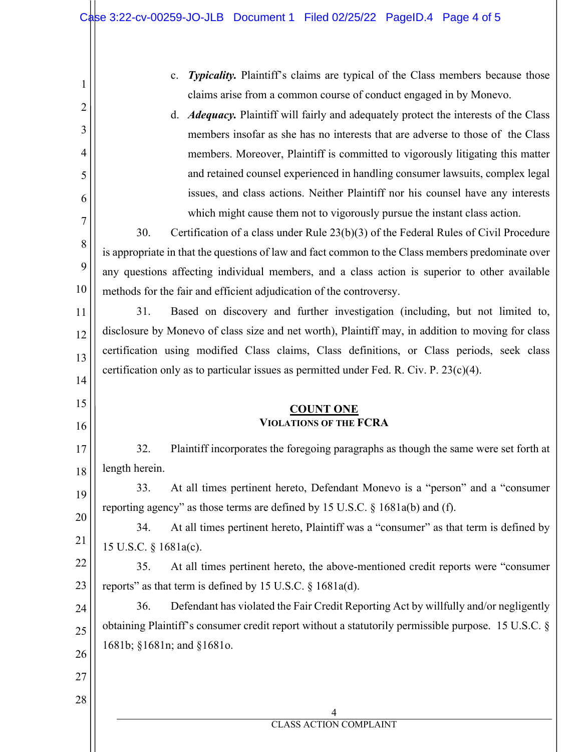| $\mathbf{1}$   | Typicality. Plaintiff's claims are typical of the Class members because those<br>$\mathbf{c}$ .                                                                |  |  |
|----------------|----------------------------------------------------------------------------------------------------------------------------------------------------------------|--|--|
|                | claims arise from a common course of conduct engaged in by Monevo.                                                                                             |  |  |
| 2              | d. <i>Adequacy</i> . Plaintiff will fairly and adequately protect the interests of the Class                                                                   |  |  |
| 3              | members insofar as she has no interests that are adverse to those of the Class                                                                                 |  |  |
| $\overline{4}$ | members. Moreover, Plaintiff is committed to vigorously litigating this matter                                                                                 |  |  |
| 5              | and retained counsel experienced in handling consumer lawsuits, complex legal                                                                                  |  |  |
| 6              | issues, and class actions. Neither Plaintiff nor his counsel have any interests                                                                                |  |  |
| $\overline{7}$ | which might cause them not to vigorously pursue the instant class action.                                                                                      |  |  |
| 8              | 30.<br>Certification of a class under Rule $23(b)(3)$ of the Federal Rules of Civil Procedure                                                                  |  |  |
|                | is appropriate in that the questions of law and fact common to the Class members predominate over                                                              |  |  |
| 9              | any questions affecting individual members, and a class action is superior to other available                                                                  |  |  |
| 10             | methods for the fair and efficient adjudication of the controversy.                                                                                            |  |  |
| 11             | 31.<br>Based on discovery and further investigation (including, but not limited to,                                                                            |  |  |
| 12             | disclosure by Monevo of class size and net worth), Plaintiff may, in addition to moving for class                                                              |  |  |
| 13             | certification using modified Class claims, Class definitions, or Class periods, seek class                                                                     |  |  |
| 14             | certification only as to particular issues as permitted under Fed. R. Civ. P. $23(c)(4)$ .                                                                     |  |  |
| 15             |                                                                                                                                                                |  |  |
| 16             | <b>COUNT ONE</b><br><b>VIOLATIONS OF THE FCRA</b>                                                                                                              |  |  |
|                |                                                                                                                                                                |  |  |
| 17             | 32.<br>Plaintiff incorporates the foregoing paragraphs as though the same were set forth at                                                                    |  |  |
| 18             | length herein.<br>33.                                                                                                                                          |  |  |
| 19             | At all times pertinent hereto, Defendant Monevo is a "person" and a "consumer<br>reporting agency" as those terms are defined by 15 U.S.C. § 1681a(b) and (f). |  |  |
| 20             | At all times pertinent hereto, Plaintiff was a "consumer" as that term is defined by<br>34.                                                                    |  |  |
| 21             | 15 U.S.C. § 1681a(c).                                                                                                                                          |  |  |
| 22             | At all times pertinent hereto, the above-mentioned credit reports were "consumer<br>35.                                                                        |  |  |
| 23             | reports" as that term is defined by 15 U.S.C. $\S$ 1681a(d).                                                                                                   |  |  |
| 24             | Defendant has violated the Fair Credit Reporting Act by willfully and/or negligently<br>36.                                                                    |  |  |
|                | obtaining Plaintiff's consumer credit report without a statutorily permissible purpose. 15 U.S.C. §                                                            |  |  |
| 25             | 1681b; §1681n; and §1681o.                                                                                                                                     |  |  |
| 26             |                                                                                                                                                                |  |  |
|                |                                                                                                                                                                |  |  |
| 27             |                                                                                                                                                                |  |  |
| 28             | 4                                                                                                                                                              |  |  |